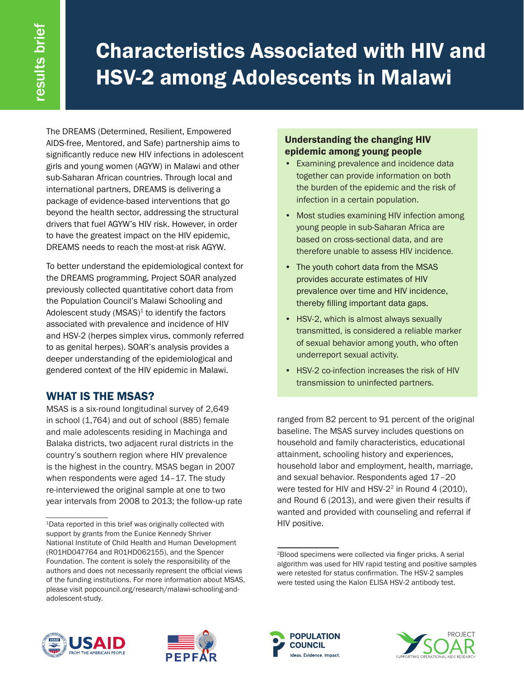# Characteristics Associated with HIV and HSV-2 among Adolescents in Malawi

The DREAMS (Determined, Resilient, Empowered AIDS-free, Mentored, and Safe) partnership aims to significantly reduce new HIV infections in adolescent girls and young women (AGYW) in Malawi and other sub-Saharan African countries. Through local and international partners, DREAMS is delivering a package of evidence-based interventions that go beyond the health sector, addressing the structural drivers that fuel AGYW's HIV risk. However, in order to have the greatest impact on the HIV epidemic, DREAMS needs to reach the most-at risk AGYW.

To better understand the epidemiological context for the DREAMS programming, Project SOAR analyzed previously collected quantitative cohort data from the Population Council's Malawi Schooling and Adolescent study  $(MSAS)^1$  to identify the factors associated with prevalence and incidence of HIV and HSV-2 (herpes simplex virus, commonly referred to as genital herpes). SOAR's analysis provides a deeper understanding of the epidemiological and gendered context of the HIV epidemic in Malawi.

# WHAT IS THE MSAS?

MSAS is a six-round longitudinal survey of 2,649 in school (1,764) and out of school (885) female and male adolescents residing in Machinga and Balaka districts, two adjacent rural districts in the country's southern region where HIV prevalence is the highest in the country. MSAS began in 2007 when respondents were aged 14–17. The study re-interviewed the original sample at one to two year intervals from 2008 to 2013; the follow-up rate

## Understanding the changing HIV epidemic among young people

- Examining prevalence and incidence data together can provide information on both the burden of the epidemic and the risk of infection in a certain population.
- Most studies examining HIV infection among young people in sub-Saharan Africa are based on cross-sectional data, and are therefore unable to assess HIV incidence.
- The youth cohort data from the MSAS provides accurate estimates of HIV prevalence over time and HIV incidence, thereby filling important data gaps.
- HSV-2, which is almost always sexually transmitted, is considered a reliable marker of sexual behavior among youth, who often underreport sexual activity.
- HSV-2 co-infection increases the risk of HIV transmission to uninfected partners.

ranged from 82 percent to 91 percent of the original baseline. The MSAS survey includes questions on household and family characteristics, educational attainment, schooling history and experiences, household labor and employment, health, marriage, and sexual behavior. Respondents aged 17–20 were tested for HIV and HSV-2<sup>2</sup> in Round 4 (2010), and Round 6 (2013), and were given their results if wanted and provided with counseling and referral if HIV positive.









<sup>1</sup>Data reported in this brief was originally collected with support by grants from the Eunice Kennedy Shriver National Institute of Child Health and Human Development (R01HD047764 and R01HD062155), and the Spencer Foundation. The content is solely the responsibility of the authors and does not necessarily represent the official views of the funding institutions. For more information about MSAS, please visit popcouncil.org/research/malawi-schooling-andadolescent-study.

<sup>2</sup>Blood specimens were collected via finger pricks. A serial algorithm was used for HIV rapid testing and positive samples were retested for status confirmation. The HSV-2 samples were tested using the Kalon ELISA HSV-2 antibody test.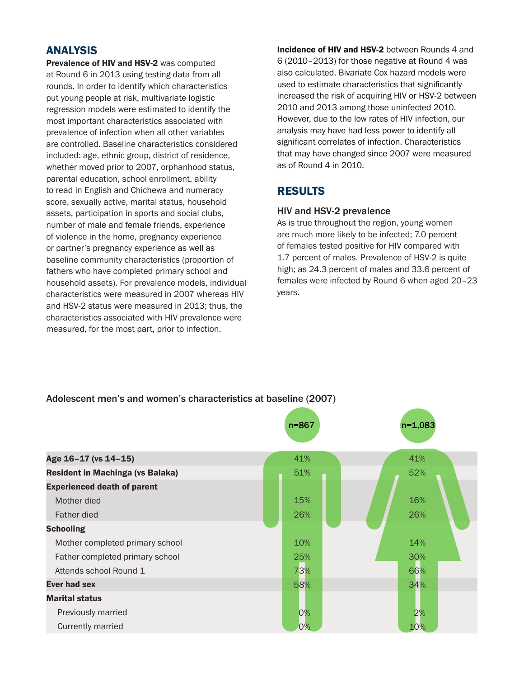## ANALYSIS

Prevalence of HIV and HSV-2 was computed at Round 6 in 2013 using testing data from all rounds. In order to identify which characteristics put young people at risk, multivariate logistic regression models were estimated to identify the most important characteristics associated with prevalence of infection when all other variables are controlled. Baseline characteristics considered included: age, ethnic group, district of residence, whether moved prior to 2007, orphanhood status, parental education, school enrollment, ability to read in English and Chichewa and numeracy score, sexually active, marital status, household assets, participation in sports and social clubs, number of male and female friends, experience of violence in the home, pregnancy experience or partner's pregnancy experience as well as baseline community characteristics (proportion of fathers who have completed primary school and household assets). For prevalence models, individual characteristics were measured in 2007 whereas HIV and HSV-2 status were measured in 2013; thus, the characteristics associated with HIV prevalence were measured, for the most part, prior to infection.

Incidence of HIV and HSV-2 between Rounds 4 and 6 (2010–2013) for those negative at Round 4 was also calculated. Bivariate Cox hazard models were used to estimate characteristics that significantly increased the risk of acquiring HIV or HSV-2 between 2010 and 2013 among those uninfected 2010. However, due to the low rates of HIV infection, our analysis may have had less power to identify all significant correlates of infection. Characteristics that may have changed since 2007 were measured as of Round 4 in 2010.

## RESULTS

#### HIV and HSV-2 prevalence

As is true throughout the region, young women are much more likely to be infected; 7.0 percent of females tested positive for HIV compared with 1.7 percent of males. Prevalence of HSV-2 is quite high; as 24.3 percent of males and 33.6 percent of females were infected by Round 6 when aged 20–23 years.

#### Adolescent men's and women's characteristics at baseline (2007)

|                                         | $n = 867$ | $n=1,083$ |
|-----------------------------------------|-----------|-----------|
|                                         |           |           |
| Age 16-17 (vs 14-15)                    | 41%       | 41%       |
| <b>Resident in Machinga (vs Balaka)</b> | 51%       | 52%       |
| <b>Experienced death of parent</b>      |           |           |
| Mother died                             | 15%       | 16%       |
| Father died                             | 26%       | 26%       |
| <b>Schooling</b>                        |           |           |
| Mother completed primary school         | 10%       | 14%       |
| Father completed primary school         | 25%       | 30%       |
| Attends school Round 1                  | 73%       | 66%       |
| <b>Ever had sex</b>                     | 58%       | 34%       |
| <b>Marital status</b>                   |           |           |
| Previously married                      | 0%        | 2%        |
| Currently married                       | 0%        | 10%       |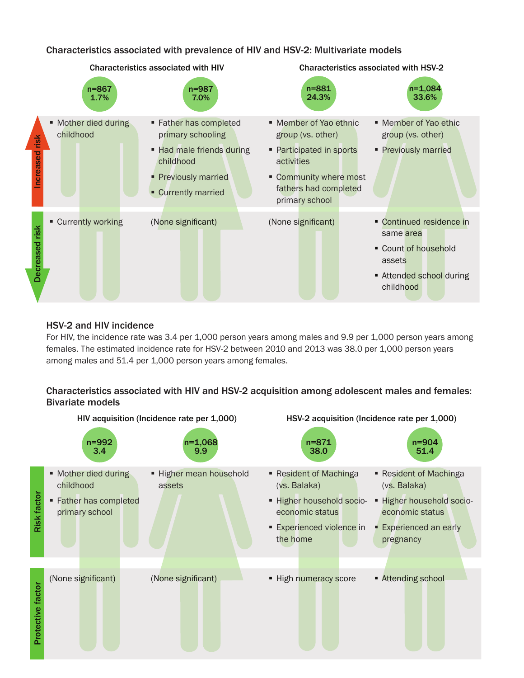Characteristics associated with prevalence of HIV and HSV-2: Multivariate models



### HSV-2 and HIV incidence

For HIV, the incidence rate was 3.4 per 1,000 person years among males and 9.9 per 1,000 person years among females. The estimated incidence rate for HSV-2 between 2010 and 2013 was 38.0 per 1,000 person years among males and 51.4 per 1,000 person years among females.

## Characteristics associated with HIV and HSV-2 acquisition among adolescent males and females: Bivariate models



HSV-2 acquisition (Incidence rate per 1,000)